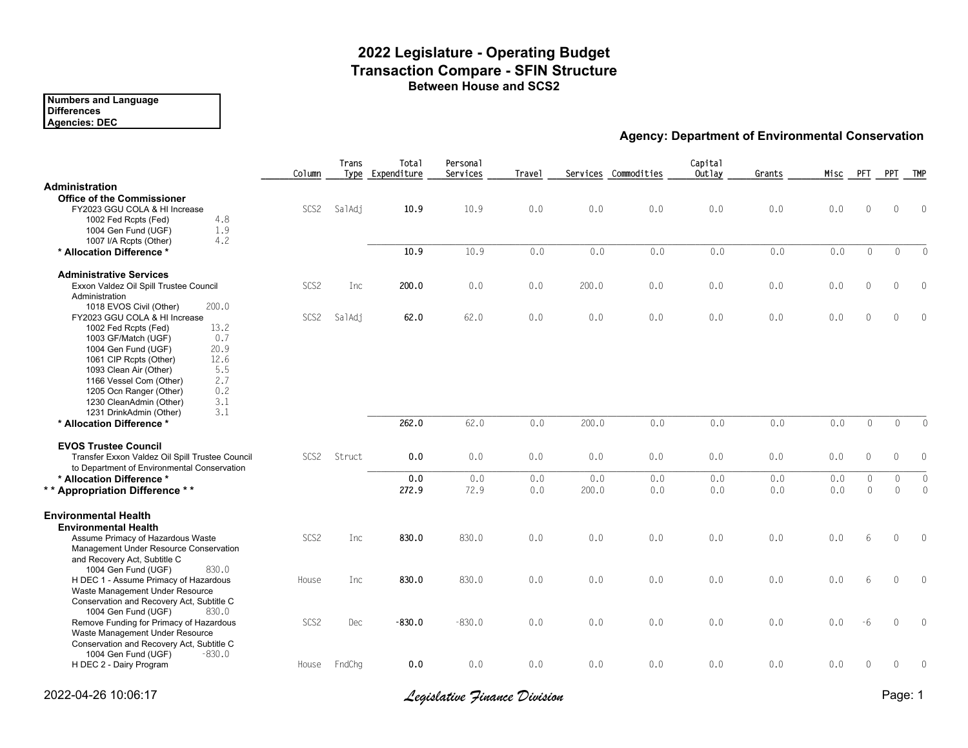### **2022 Legislature - Operating Budget Transaction Compare - SFIN Structure Between House and SCS2**

#### **Number[s and Language](http://www.legfin.akleg.gov/ReportsPHP/SelectReport.php?ReportAbbrev=FUNDSOURCE&LimitFundCodes=1002) Differences Agencie[s: DEC](http://www.legfin.akleg.gov/ReportsPHP/SelectReport.php?ReportAbbrev=FUNDSOURCE&LimitFundCodes=1003)**

**Agency: Department of** 

|                                                                                                                                                                                                                                                                                                                                       | Column           | Trans  | Total<br>Type Expenditure | Personal<br>Services | Travel     |              | Services Commodities | Capital<br>Outlay |
|---------------------------------------------------------------------------------------------------------------------------------------------------------------------------------------------------------------------------------------------------------------------------------------------------------------------------------------|------------------|--------|---------------------------|----------------------|------------|--------------|----------------------|-------------------|
| Administration<br><b>Office of the Commissioner</b><br>FY2023 GGU COLA & HI Increase<br>4.8<br>1002 Fed Rcpts (Fed)<br>1.9<br>1004 Gen Fund (UGF)<br>4.2                                                                                                                                                                              | SCS <sub>2</sub> | SalAdj | 10.9                      | 10.9                 | 0.0        | 0.0          | 0.0                  | 0.0               |
| 1007 I/A Rcpts (Other)<br>* Allocation Difference *                                                                                                                                                                                                                                                                                   |                  |        | 10.9                      | 10.9                 | 0.0        | 0.0          | 0.0                  | 0.0               |
| <b>Administrative Services</b><br>Exxon Valdez Oil Spill Trustee Council<br>Administration<br>200.0<br>1018 EVOS Civil (Other)                                                                                                                                                                                                        | SCS <sub>2</sub> | Inc    | 200.0                     | 0.0                  | 0.0        | 200.0        | 0.0                  | 0.0               |
| FY2023 GGU COLA & HI Increase<br>13.2<br>1002 Fed Rcpts (Fed)<br>0.7<br>1003 GF/Match (UGF)<br>20.9<br>1004 Gen Fund (UGF)<br>12.6<br>1061 CIP Rcpts (Other)<br>5.5<br>1093 Clean Air (Other)<br>2.7<br>1166 Vessel Com (Other)<br>0.2<br>1205 Ocn Ranger (Other)<br>3.1<br>1230 CleanAdmin (Other)<br>3.1<br>1231 DrinkAdmin (Other) | SCS <sub>2</sub> | SalAdj | 62.0                      | 62.0                 | 0.0        | 0.0          | 0.0                  | 0.0               |
| * Allocation Difference *                                                                                                                                                                                                                                                                                                             |                  |        | 262.0                     | 62.0                 | 0.0        | 200.0        | 0.0                  | 0.0               |
| <b>EVOS Trustee Council</b><br>Transfer Exxon Valdez Oil Spill Trustee Council<br>to Department of Environmental Conservation                                                                                                                                                                                                         | SCS <sub>2</sub> | Struct | 0.0                       | 0.0                  | 0.0        | 0.0          | 0.0                  | 0.0               |
| * Allocation Difference *<br>** Appropriation Difference **                                                                                                                                                                                                                                                                           |                  |        | 0.0<br>272.9              | 0.0<br>72.9          | 0.0<br>0.0 | 0.0<br>200.0 | 0.0<br>0.0           | 0.0<br>0.0        |
| <b>Environmental Health</b><br><b>Environmental Health</b><br>Assume Primacy of Hazardous Waste                                                                                                                                                                                                                                       | SCS <sub>2</sub> | Inc    | 830.0                     | 830.0                | 0.0        | 0.0          | 0.0                  | 0.0               |
| Management Under Resource Conservation<br>and Recovery Act, Subtitle C<br>830.0<br>1004 Gen Fund (UGF)<br>H DEC 1 - Assume Primacy of Hazardous                                                                                                                                                                                       | House            | Inc    | 830.0                     | 830.0                | 0.0        | 0.0          | 0.0                  | 0.0               |
| Waste Management Under Resource<br>Conservation and Recovery Act, Subtitle C<br>1004 Gen Fund (UGF)<br>830.0<br>Remove Funding for Primacy of Hazardous<br>Waste Management Under Resource<br>Conservation and Recovery Act, Subtitle C                                                                                               | SCS <sub>2</sub> | Dec    | $-830.0$                  | $-830.0$             | 0.0        | 0.0          | 0.0                  | 0.0               |
| $-830.0$<br>1004 Gen Fund (UGF)<br>H DEC 2 - Dairy Program                                                                                                                                                                                                                                                                            | House            | FndChg | 0.0                       | 0.0                  | 0.0        | 0.0          | 0.0                  | 0.0               |

## 2022-04-26 10:06:17 *Legislative Finance Division* Page: 1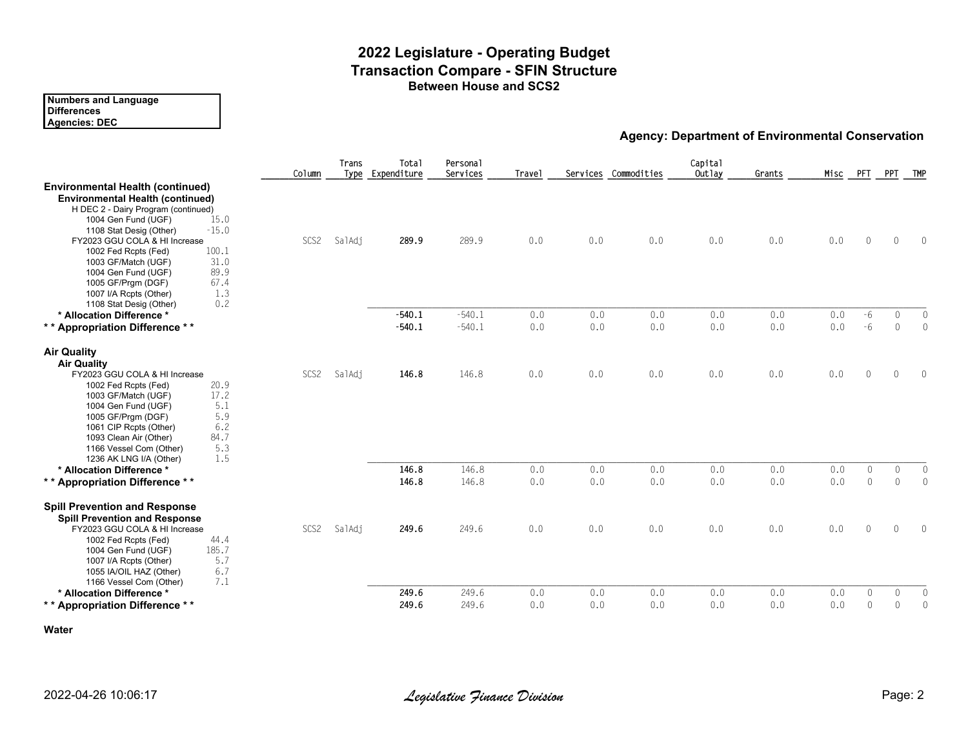#### **2022 Legislature - Operating Budget Transaction Compare - SFIN Structure Between House and SCS2**

| <b>Numbers and Language</b> |
|-----------------------------|
| <b>Differences</b>          |
| Agencies: DEC               |

| <b>Agency: Department o</b> |  |
|-----------------------------|--|
|-----------------------------|--|

|                                                                                                                                                                                                                                                                                                                                                                                                           | Column           | Trans  | Total<br>Type Expenditure | Personal<br>Services    | <b>Travel</b>     | Services Commodities |                   | Capital<br>Outlay |
|-----------------------------------------------------------------------------------------------------------------------------------------------------------------------------------------------------------------------------------------------------------------------------------------------------------------------------------------------------------------------------------------------------------|------------------|--------|---------------------------|-------------------------|-------------------|----------------------|-------------------|-------------------|
| <b>Environmental Health (continued)</b><br><b>Environmental Health (continued)</b><br>H DEC 2 - Dairy Program (continued)<br>15.0<br>1004 Gen Fund (UGF)<br>$-15.0$<br>1108 Stat Desig (Other)<br>FY2023 GGU COLA & HI Increase<br>100.1<br>1002 Fed Rcpts (Fed)<br>31.0<br>1003 GF/Match (UGF)<br>89.9<br>1004 Gen Fund (UGF)<br>67.4<br>1005 GF/Prgm (DGF)<br>1.3<br>1007 I/A Rcpts (Other)             | SCS <sub>2</sub> | SalAdi | 289.9                     | 289.9                   | 0.0               | 0.0                  | 0.0               | 0.0               |
| 0.2<br>1108 Stat Desig (Other)<br>* Allocation Difference *                                                                                                                                                                                                                                                                                                                                               |                  |        | $-540.1$                  | $-540.1$                | 0.0               | 0.0                  | 0.0               | 0.0               |
| ** Appropriation Difference **                                                                                                                                                                                                                                                                                                                                                                            |                  |        | $-540.1$                  | $-540.1$                | 0.0               | 0.0                  | 0.0               | 0.0               |
| <b>Air Quality</b><br><b>Air Quality</b><br>FY2023 GGU COLA & HI Increase<br>20.9<br>1002 Fed Rcpts (Fed)<br>17.2<br>1003 GF/Match (UGF)<br>5.1<br>1004 Gen Fund (UGF)<br>5.9<br>1005 GF/Prgm (DGF)<br>6.2<br>1061 CIP Rcpts (Other)<br>84.7<br>1093 Clean Air (Other)<br>5.3<br>1166 Vessel Com (Other)<br>1.5<br>1236 AK LNG I/A (Other)<br>* Allocation Difference *<br>** Appropriation Difference ** | SCS <sub>2</sub> | SalAdi | 146.8<br>146.8<br>146.8   | 146.8<br>146.8<br>146.8 | 0.0<br>0.0<br>0.0 | 0.0<br>0.0<br>0.0    | 0.0<br>0.0<br>0.0 | 0.0<br>0.0<br>0.0 |
| <b>Spill Prevention and Response</b><br><b>Spill Prevention and Response</b><br>FY2023 GGU COLA & HI Increase<br>44.4<br>1002 Fed Rcpts (Fed)<br>185.7<br>1004 Gen Fund (UGF)<br>5.7<br>1007 I/A Rcpts (Other)<br>6.7<br>1055 IA/OIL HAZ (Other)<br>7.1<br>1166 Vessel Com (Other)                                                                                                                        | SCS <sub>2</sub> | SalAdj | 249.6                     | 249.6                   | 0.0               | 0.0                  | 0.0               | 0.0               |
| * Allocation Difference *<br>** Appropriation Difference **                                                                                                                                                                                                                                                                                                                                               |                  |        | 249.6<br>249.6            | 249.6<br>249.6          | 0.0<br>0.0        | 0.0<br>0.0           | 0.0<br>0.0        | 0.0<br>0.0        |

**Water**

## 2022-04-26 10:06:17 *Legislative Finance Division* Page: 2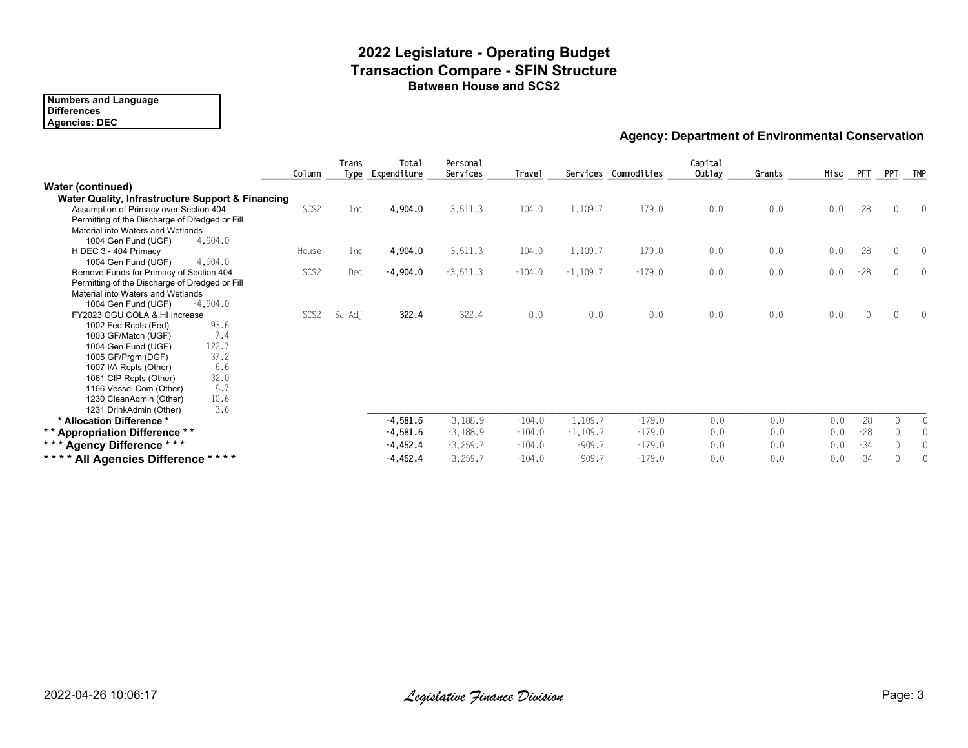### **2022 Legislature - Operating Budget Transaction Compare - SFIN Structure Between House and SCS2**

#### **Number[s and Language](http://www.legfin.akleg.gov/ReportsPHP/SelectReport.php?ReportAbbrev=FUNDSOURCE&LimitFundCodes=1002) Differences**

**Agencie[s: DEC](http://www.legfin.akleg.gov/ReportsPHP/SelectReport.php?ReportAbbrev=FUNDSOURCE&LimitFundCodes=1004)**

#### **Agency: Department of**

|                                                   |             | Column           | Trans  | <b>Total</b><br>Type Expenditure | Personal<br>Services | Travel   |            | Services Commodities | Capital<br>Outlay |
|---------------------------------------------------|-------------|------------------|--------|----------------------------------|----------------------|----------|------------|----------------------|-------------------|
| <b>Water (continued)</b>                          |             |                  |        |                                  |                      |          |            |                      |                   |
| Water Quality, Infrastructure Support & Financing |             |                  |        |                                  |                      |          |            |                      |                   |
| Assumption of Primacy over Section 404            |             | SCS2             | Inc    | 4,904.0                          | 3,511.3              | 104.0    | 1,109.7    | 179.0                | 0.0               |
| Permitting of the Discharge of Dredged or Fill    |             |                  |        |                                  |                      |          |            |                      |                   |
| Material into Waters and Wetlands                 |             |                  |        |                                  |                      |          |            |                      |                   |
| 1004 Gen Fund (UGF)                               | 4,904.0     |                  | Inc    |                                  | 3,511.3              | 104.0    |            | 179.0                | 0.0               |
| H DEC 3 - 404 Primacy<br>1004 Gen Fund (UGF)      | 4,904.0     | House            |        | 4,904.0                          |                      |          | 1,109.7    |                      |                   |
| Remove Funds for Primacy of Section 404           |             | SCS <sub>2</sub> | Dec    | $-4,904.0$                       | $-3,511.3$           | $-104.0$ | $-1,109.7$ | $-179.0$             | 0.0               |
| Permitting of the Discharge of Dredged or Fill    |             |                  |        |                                  |                      |          |            |                      |                   |
| Material into Waters and Wetlands                 |             |                  |        |                                  |                      |          |            |                      |                   |
| 1004 Gen Fund (UGF)                               | $-4,904.0$  |                  |        |                                  |                      |          |            |                      |                   |
| FY2023 GGU COLA & HI Increase                     |             | SCS <sub>2</sub> | SalAdj | 322.4                            | 322.4                | 0.0      | 0.0        | 0.0                  | 0.0               |
| 1002 Fed Rcpts (Fed)                              | 93.6        |                  |        |                                  |                      |          |            |                      |                   |
| 1003 GF/Match (UGF)                               | 7.4         |                  |        |                                  |                      |          |            |                      |                   |
| 1004 Gen Fund (UGF)                               | 122.7       |                  |        |                                  |                      |          |            |                      |                   |
| 1005 GF/Prgm (DGF)                                | 37.2        |                  |        |                                  |                      |          |            |                      |                   |
| 1007 I/A Rcpts (Other)                            | 6.6         |                  |        |                                  |                      |          |            |                      |                   |
| 1061 CIP Rcpts (Other)<br>1166 Vessel Com (Other) | 32.0<br>8.7 |                  |        |                                  |                      |          |            |                      |                   |
| 1230 CleanAdmin (Other)                           | 10.6        |                  |        |                                  |                      |          |            |                      |                   |
| 1231 DrinkAdmin (Other)                           | 3.6         |                  |        |                                  |                      |          |            |                      |                   |
| * Allocation Difference *                         |             |                  |        | $-4,581.6$                       | $-3,188.9$           | $-104.0$ | $-1,109.7$ | $-179.0$             | 0.0               |
| ** Appropriation Difference **                    |             |                  |        | $-4,581.6$                       | $-3,188.9$           | $-104.0$ | $-1,109.7$ | $-179.0$             | 0.0               |
| *** Agency Difference ***                         |             |                  |        | $-4,452.4$                       | $-3,259.7$           | $-104.0$ | $-909.7$   | $-179.0$             | 0.0               |
| **** All Agencies Difference ****                 |             |                  |        | $-4,452.4$                       | $-3,259.7$           | $-104.0$ | $-909.7$   | $-179.0$             | 0.0               |
|                                                   |             |                  |        |                                  |                      |          |            |                      |                   |